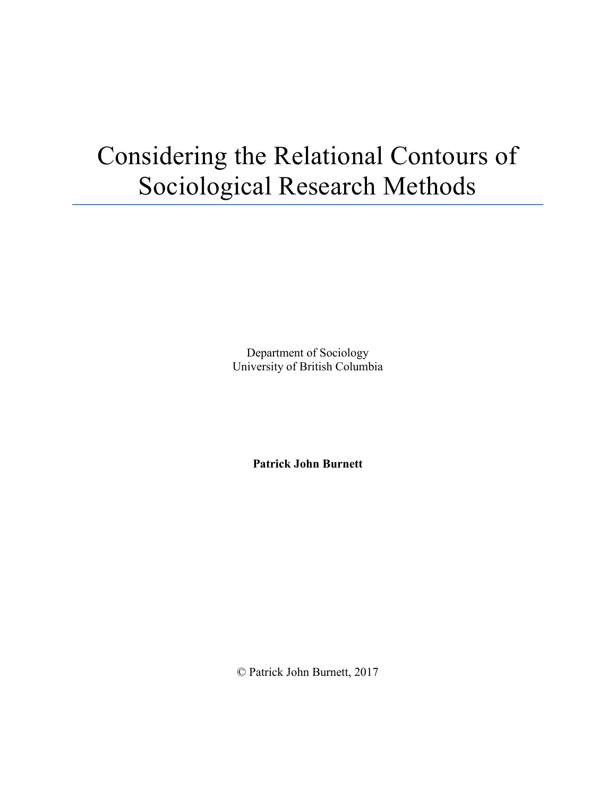# Considering the Relational Contours of Sociological Research Methods

Department of Sociology University of British Columbia

**Patrick John Burnett**

© Patrick John Burnett, 2017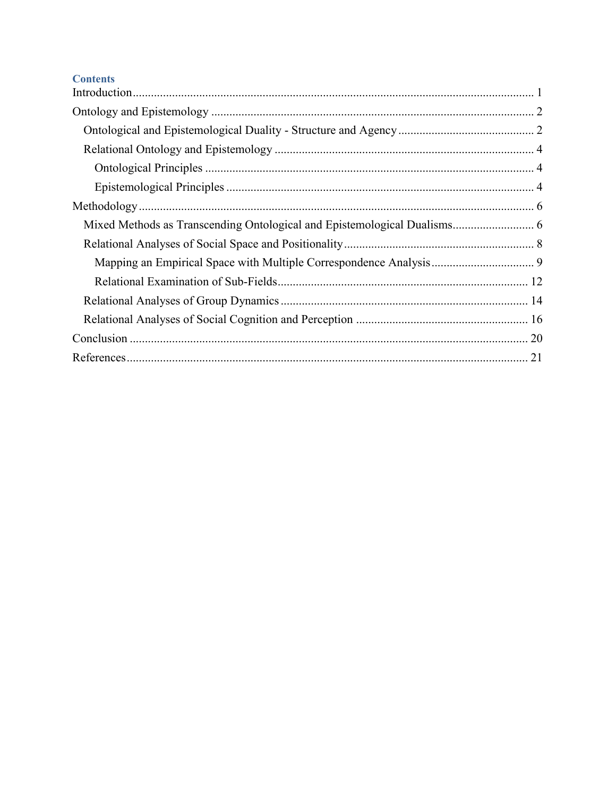## **Contents**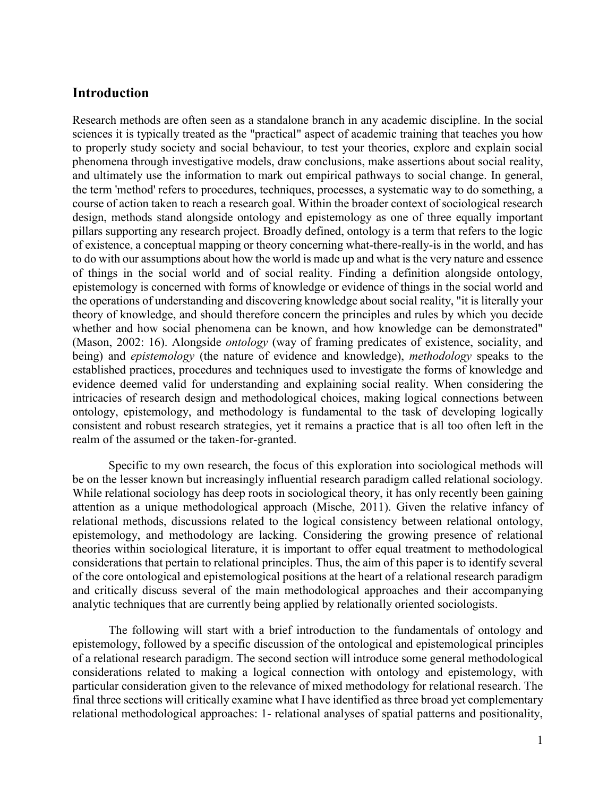## <span id="page-2-0"></span>**Introduction**

Research methods are often seen as a standalone branch in any academic discipline. In the social sciences it is typically treated as the "practical" aspect of academic training that teaches you how to properly study society and social behaviour, to test your theories, explore and explain social phenomena through investigative models, draw conclusions, make assertions about social reality, and ultimately use the information to mark out empirical pathways to social change. In general, the term 'method' refers to procedures, techniques, processes, a systematic way to do something, a course of action taken to reach a research goal. Within the broader context of sociological research design, methods stand alongside ontology and epistemology as one of three equally important pillars supporting any research project. Broadly defined, ontology is a term that refers to the logic of existence, a conceptual mapping or theory concerning what-there-really-is in the world, and has to do with our assumptions about how the world is made up and what is the very nature and essence of things in the social world and of social reality. Finding a definition alongside ontology, epistemology is concerned with forms of knowledge or evidence of things in the social world and the operations of understanding and discovering knowledge about social reality, "it is literally your theory of knowledge, and should therefore concern the principles and rules by which you decide whether and how social phenomena can be known, and how knowledge can be demonstrated" (Mason, 2002: 16). Alongside *ontology* (way of framing predicates of existence, sociality, and being) and *epistemology* (the nature of evidence and knowledge), *methodology* speaks to the established practices, procedures and techniques used to investigate the forms of knowledge and evidence deemed valid for understanding and explaining social reality. When considering the intricacies of research design and methodological choices, making logical connections between ontology, epistemology, and methodology is fundamental to the task of developing logically consistent and robust research strategies, yet it remains a practice that is all too often left in the realm of the assumed or the taken-for-granted.

Specific to my own research, the focus of this exploration into sociological methods will be on the lesser known but increasingly influential research paradigm called relational sociology. While relational sociology has deep roots in sociological theory, it has only recently been gaining attention as a unique methodological approach (Mische, 2011). Given the relative infancy of relational methods, discussions related to the logical consistency between relational ontology, epistemology, and methodology are lacking. Considering the growing presence of relational theories within sociological literature, it is important to offer equal treatment to methodological considerations that pertain to relational principles. Thus, the aim of this paper is to identify several of the core ontological and epistemological positions at the heart of a relational research paradigm and critically discuss several of the main methodological approaches and their accompanying analytic techniques that are currently being applied by relationally oriented sociologists.

The following will start with a brief introduction to the fundamentals of ontology and epistemology, followed by a specific discussion of the ontological and epistemological principles of a relational research paradigm. The second section will introduce some general methodological considerations related to making a logical connection with ontology and epistemology, with particular consideration given to the relevance of mixed methodology for relational research. The final three sections will critically examine what I have identified as three broad yet complementary relational methodological approaches: 1- relational analyses of spatial patterns and positionality,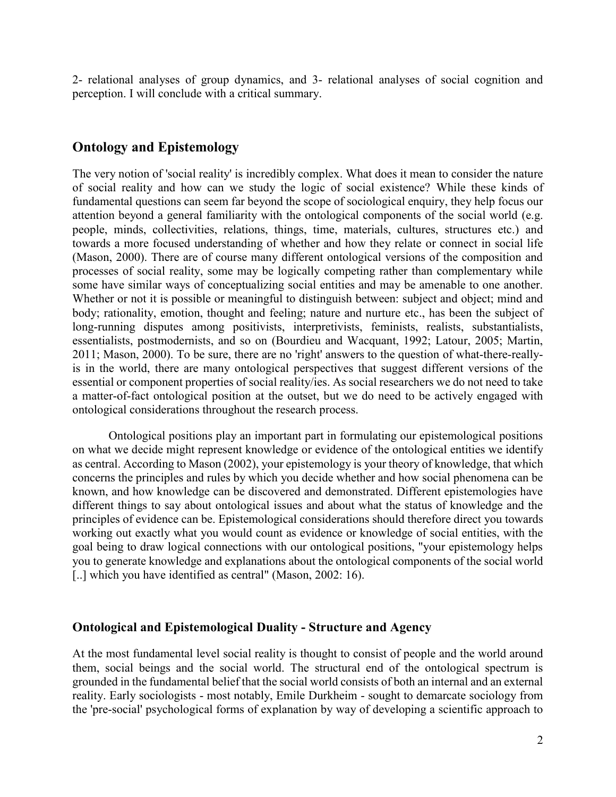2- relational analyses of group dynamics, and 3- relational analyses of social cognition and perception. I will conclude with a critical summary.

## <span id="page-3-0"></span>**Ontology and Epistemology**

The very notion of 'social reality' is incredibly complex. What does it mean to consider the nature of social reality and how can we study the logic of social existence? While these kinds of fundamental questions can seem far beyond the scope of sociological enquiry, they help focus our attention beyond a general familiarity with the ontological components of the social world (e.g. people, minds, collectivities, relations, things, time, materials, cultures, structures etc.) and towards a more focused understanding of whether and how they relate or connect in social life (Mason, 2000). There are of course many different ontological versions of the composition and processes of social reality, some may be logically competing rather than complementary while some have similar ways of conceptualizing social entities and may be amenable to one another. Whether or not it is possible or meaningful to distinguish between: subject and object; mind and body; rationality, emotion, thought and feeling; nature and nurture etc., has been the subject of long-running disputes among positivists, interpretivists, feminists, realists, substantialists, essentialists, postmodernists, and so on (Bourdieu and Wacquant, 1992; Latour, 2005; Martin, 2011; Mason, 2000). To be sure, there are no 'right' answers to the question of what-there-reallyis in the world, there are many ontological perspectives that suggest different versions of the essential or component properties of social reality/ies. As social researchers we do not need to take a matter-of-fact ontological position at the outset, but we do need to be actively engaged with ontological considerations throughout the research process.

Ontological positions play an important part in formulating our epistemological positions on what we decide might represent knowledge or evidence of the ontological entities we identify as central. According to Mason (2002), your epistemology is your theory of knowledge, that which concerns the principles and rules by which you decide whether and how social phenomena can be known, and how knowledge can be discovered and demonstrated. Different epistemologies have different things to say about ontological issues and about what the status of knowledge and the principles of evidence can be. Epistemological considerations should therefore direct you towards working out exactly what you would count as evidence or knowledge of social entities, with the goal being to draw logical connections with our ontological positions, "your epistemology helps you to generate knowledge and explanations about the ontological components of the social world [..] which you have identified as central" (Mason, 2002: 16).

#### <span id="page-3-1"></span>**Ontological and Epistemological Duality - Structure and Agency**

At the most fundamental level social reality is thought to consist of people and the world around them, social beings and the social world. The structural end of the ontological spectrum is grounded in the fundamental belief that the social world consists of both an internal and an external reality. Early sociologists - most notably, Emile Durkheim - sought to demarcate sociology from the 'pre-social' psychological forms of explanation by way of developing a scientific approach to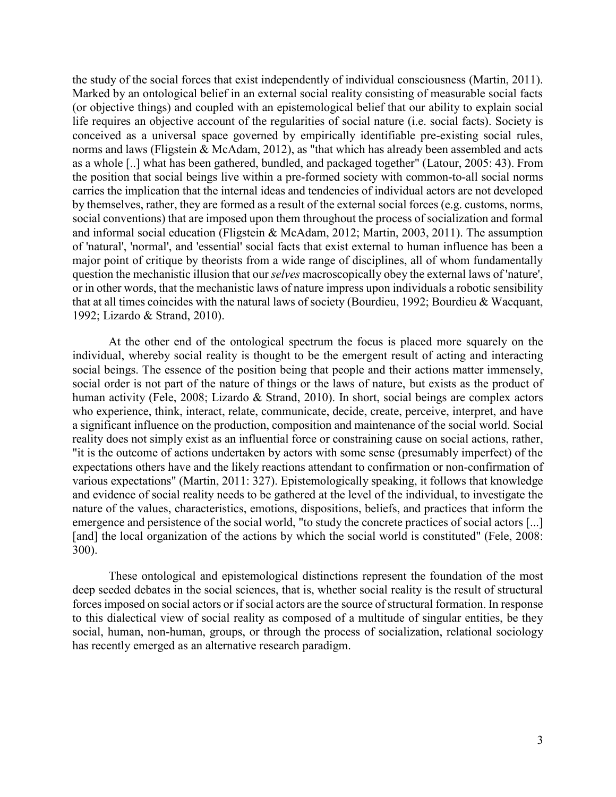the study of the social forces that exist independently of individual consciousness (Martin, 2011). Marked by an ontological belief in an external social reality consisting of measurable social facts (or objective things) and coupled with an epistemological belief that our ability to explain social life requires an objective account of the regularities of social nature (i.e. social facts). Society is conceived as a universal space governed by empirically identifiable pre-existing social rules, norms and laws (Fligstein & McAdam, 2012), as "that which has already been assembled and acts as a whole [..] what has been gathered, bundled, and packaged together" (Latour, 2005: 43). From the position that social beings live within a pre-formed society with common-to-all social norms carries the implication that the internal ideas and tendencies of individual actors are not developed by themselves, rather, they are formed as a result of the external social forces (e.g. customs, norms, social conventions) that are imposed upon them throughout the process of socialization and formal and informal social education (Fligstein & McAdam, 2012; Martin, 2003, 2011). The assumption of 'natural', 'normal', and 'essential' social facts that exist external to human influence has been a major point of critique by theorists from a wide range of disciplines, all of whom fundamentally question the mechanistic illusion that our *selves* macroscopically obey the external laws of 'nature', or in other words, that the mechanistic laws of nature impress upon individuals a robotic sensibility that at all times coincides with the natural laws of society (Bourdieu, 1992; Bourdieu & Wacquant, 1992; Lizardo & Strand, 2010).

At the other end of the ontological spectrum the focus is placed more squarely on the individual, whereby social reality is thought to be the emergent result of acting and interacting social beings. The essence of the position being that people and their actions matter immensely, social order is not part of the nature of things or the laws of nature, but exists as the product of human activity (Fele, 2008; Lizardo & Strand, 2010). In short, social beings are complex actors who experience, think, interact, relate, communicate, decide, create, perceive, interpret, and have a significant influence on the production, composition and maintenance of the social world. Social reality does not simply exist as an influential force or constraining cause on social actions, rather, "it is the outcome of actions undertaken by actors with some sense (presumably imperfect) of the expectations others have and the likely reactions attendant to confirmation or non-confirmation of various expectations" (Martin, 2011: 327). Epistemologically speaking, it follows that knowledge and evidence of social reality needs to be gathered at the level of the individual, to investigate the nature of the values, characteristics, emotions, dispositions, beliefs, and practices that inform the emergence and persistence of the social world, "to study the concrete practices of social actors [...] [and] the local organization of the actions by which the social world is constituted" (Fele, 2008: 300).

These ontological and epistemological distinctions represent the foundation of the most deep seeded debates in the social sciences, that is, whether social reality is the result of structural forces imposed on social actors or if social actors are the source of structural formation. In response to this dialectical view of social reality as composed of a multitude of singular entities, be they social, human, non-human, groups, or through the process of socialization, relational sociology has recently emerged as an alternative research paradigm.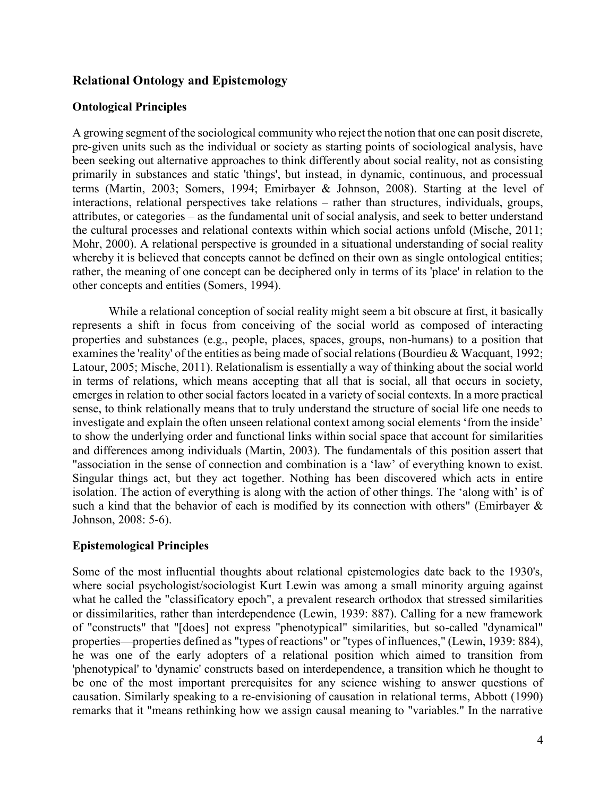## <span id="page-5-0"></span>**Relational Ontology and Epistemology**

## <span id="page-5-1"></span>**Ontological Principles**

A growing segment of the sociological community who reject the notion that one can posit discrete, pre-given units such as the individual or society as starting points of sociological analysis, have been seeking out alternative approaches to think differently about social reality, not as consisting primarily in substances and static 'things', but instead, in dynamic, continuous, and processual terms (Martin, 2003; Somers, 1994; Emirbayer & Johnson, 2008). Starting at the level of interactions, relational perspectives take relations – rather than structures, individuals, groups, attributes, or categories – as the fundamental unit of social analysis, and seek to better understand the cultural processes and relational contexts within which social actions unfold (Mische, 2011; Mohr, 2000). A relational perspective is grounded in a situational understanding of social reality whereby it is believed that concepts cannot be defined on their own as single ontological entities; rather, the meaning of one concept can be deciphered only in terms of its 'place' in relation to the other concepts and entities (Somers, 1994).

While a relational conception of social reality might seem a bit obscure at first, it basically represents a shift in focus from conceiving of the social world as composed of interacting properties and substances (e.g., people, places, spaces, groups, non-humans) to a position that examines the 'reality' of the entities as being made of social relations (Bourdieu & Wacquant, 1992; Latour, 2005; Mische, 2011). Relationalism is essentially a way of thinking about the social world in terms of relations, which means accepting that all that is social, all that occurs in society, emerges in relation to other social factors located in a variety of social contexts. In a more practical sense, to think relationally means that to truly understand the structure of social life one needs to investigate and explain the often unseen relational context among social elements 'from the inside' to show the underlying order and functional links within social space that account for similarities and differences among individuals (Martin, 2003). The fundamentals of this position assert that "association in the sense of connection and combination is a 'law' of everything known to exist. Singular things act, but they act together. Nothing has been discovered which acts in entire isolation. The action of everything is along with the action of other things. The 'along with' is of such a kind that the behavior of each is modified by its connection with others" (Emirbayer  $\&$ Johnson, 2008: 5-6).

## <span id="page-5-2"></span>**Epistemological Principles**

Some of the most influential thoughts about relational epistemologies date back to the 1930's, where social psychologist/sociologist Kurt Lewin was among a small minority arguing against what he called the "classificatory epoch", a prevalent research orthodox that stressed similarities or dissimilarities, rather than interdependence (Lewin, 1939: 887). Calling for a new framework of "constructs" that "[does] not express "phenotypical" similarities, but so-called "dynamical" properties—properties defined as "types of reactions" or "types of influences," (Lewin, 1939: 884), he was one of the early adopters of a relational position which aimed to transition from 'phenotypical' to 'dynamic' constructs based on interdependence, a transition which he thought to be one of the most important prerequisites for any science wishing to answer questions of causation. Similarly speaking to a re-envisioning of causation in relational terms, Abbott (1990) remarks that it "means rethinking how we assign causal meaning to "variables." In the narrative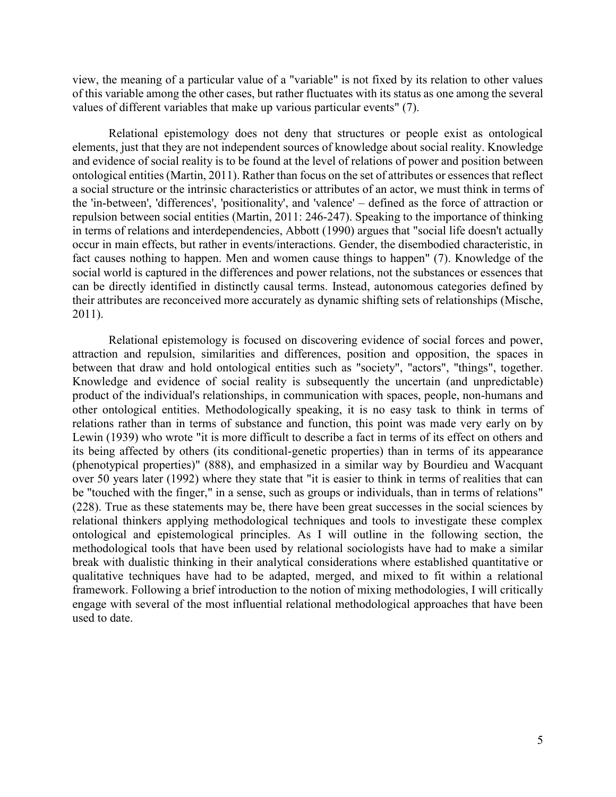view, the meaning of a particular value of a "variable" is not fixed by its relation to other values of this variable among the other cases, but rather fluctuates with its status as one among the several values of different variables that make up various particular events" (7).

Relational epistemology does not deny that structures or people exist as ontological elements, just that they are not independent sources of knowledge about social reality. Knowledge and evidence of social reality is to be found at the level of relations of power and position between ontological entities (Martin, 2011). Rather than focus on the set of attributes or essences that reflect a social structure or the intrinsic characteristics or attributes of an actor, we must think in terms of the 'in-between', 'differences', 'positionality', and 'valence' ‒ defined as the force of attraction or repulsion between social entities (Martin, 2011: 246-247). Speaking to the importance of thinking in terms of relations and interdependencies, Abbott (1990) argues that "social life doesn't actually occur in main effects, but rather in events/interactions. Gender, the disembodied characteristic, in fact causes nothing to happen. Men and women cause things to happen" (7). Knowledge of the social world is captured in the differences and power relations, not the substances or essences that can be directly identified in distinctly causal terms. Instead, autonomous categories defined by their attributes are reconceived more accurately as dynamic shifting sets of relationships (Mische, 2011).

Relational epistemology is focused on discovering evidence of social forces and power, attraction and repulsion, similarities and differences, position and opposition, the spaces in between that draw and hold ontological entities such as "society", "actors", "things", together. Knowledge and evidence of social reality is subsequently the uncertain (and unpredictable) product of the individual's relationships, in communication with spaces, people, non-humans and other ontological entities. Methodologically speaking, it is no easy task to think in terms of relations rather than in terms of substance and function, this point was made very early on by Lewin (1939) who wrote "it is more difficult to describe a fact in terms of its effect on others and its being affected by others (its conditional-genetic properties) than in terms of its appearance (phenotypical properties)" (888), and emphasized in a similar way by Bourdieu and Wacquant over 50 years later (1992) where they state that "it is easier to think in terms of realities that can be "touched with the finger," in a sense, such as groups or individuals, than in terms of relations" (228). True as these statements may be, there have been great successes in the social sciences by relational thinkers applying methodological techniques and tools to investigate these complex ontological and epistemological principles. As I will outline in the following section, the methodological tools that have been used by relational sociologists have had to make a similar break with dualistic thinking in their analytical considerations where established quantitative or qualitative techniques have had to be adapted, merged, and mixed to fit within a relational framework. Following a brief introduction to the notion of mixing methodologies, I will critically engage with several of the most influential relational methodological approaches that have been used to date.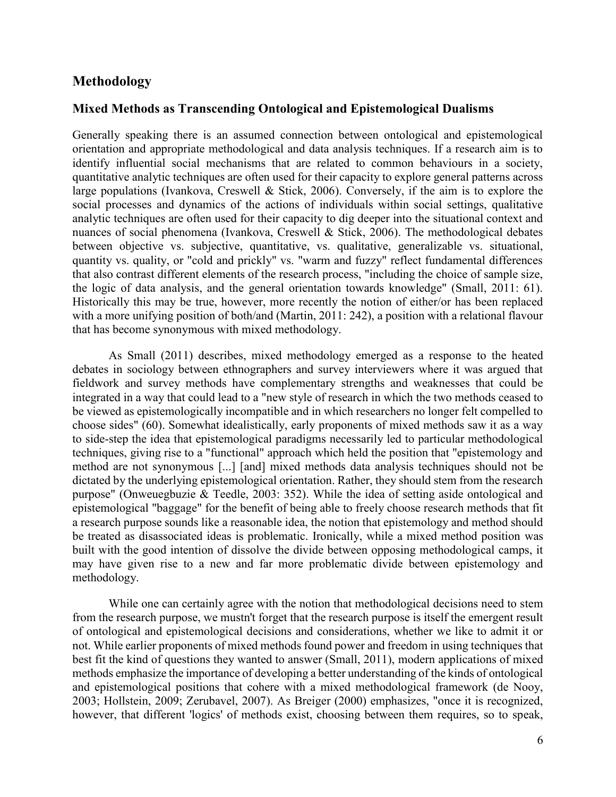## <span id="page-7-0"></span>**Methodology**

#### <span id="page-7-1"></span>**Mixed Methods as Transcending Ontological and Epistemological Dualisms**

Generally speaking there is an assumed connection between ontological and epistemological orientation and appropriate methodological and data analysis techniques. If a research aim is to identify influential social mechanisms that are related to common behaviours in a society, quantitative analytic techniques are often used for their capacity to explore general patterns across large populations (Ivankova, Creswell & Stick, 2006). Conversely, if the aim is to explore the social processes and dynamics of the actions of individuals within social settings, qualitative analytic techniques are often used for their capacity to dig deeper into the situational context and nuances of social phenomena (Ivankova, Creswell & Stick, 2006). The methodological debates between objective vs. subjective, quantitative, vs. qualitative, generalizable vs. situational, quantity vs. quality, or "cold and prickly" vs. "warm and fuzzy" reflect fundamental differences that also contrast different elements of the research process, "including the choice of sample size, the logic of data analysis, and the general orientation towards knowledge" (Small, 2011: 61). Historically this may be true, however, more recently the notion of either/or has been replaced with a more unifying position of both/and (Martin, 2011: 242), a position with a relational flavour that has become synonymous with mixed methodology.

As Small (2011) describes, mixed methodology emerged as a response to the heated debates in sociology between ethnographers and survey interviewers where it was argued that fieldwork and survey methods have complementary strengths and weaknesses that could be integrated in a way that could lead to a "new style of research in which the two methods ceased to be viewed as epistemologically incompatible and in which researchers no longer felt compelled to choose sides" (60). Somewhat idealistically, early proponents of mixed methods saw it as a way to side-step the idea that epistemological paradigms necessarily led to particular methodological techniques, giving rise to a "functional" approach which held the position that "epistemology and method are not synonymous [...] [and] mixed methods data analysis techniques should not be dictated by the underlying epistemological orientation. Rather, they should stem from the research purpose" (Onweuegbuzie & Teedle, 2003: 352). While the idea of setting aside ontological and epistemological "baggage" for the benefit of being able to freely choose research methods that fit a research purpose sounds like a reasonable idea, the notion that epistemology and method should be treated as disassociated ideas is problematic. Ironically, while a mixed method position was built with the good intention of dissolve the divide between opposing methodological camps, it may have given rise to a new and far more problematic divide between epistemology and methodology.

While one can certainly agree with the notion that methodological decisions need to stem from the research purpose, we mustn't forget that the research purpose is itself the emergent result of ontological and epistemological decisions and considerations, whether we like to admit it or not. While earlier proponents of mixed methods found power and freedom in using techniques that best fit the kind of questions they wanted to answer (Small, 2011), modern applications of mixed methods emphasize the importance of developing a better understanding of the kinds of ontological and epistemological positions that cohere with a mixed methodological framework (de Nooy, 2003; Hollstein, 2009; Zerubavel, 2007). As Breiger (2000) emphasizes, "once it is recognized, however, that different 'logics' of methods exist, choosing between them requires, so to speak,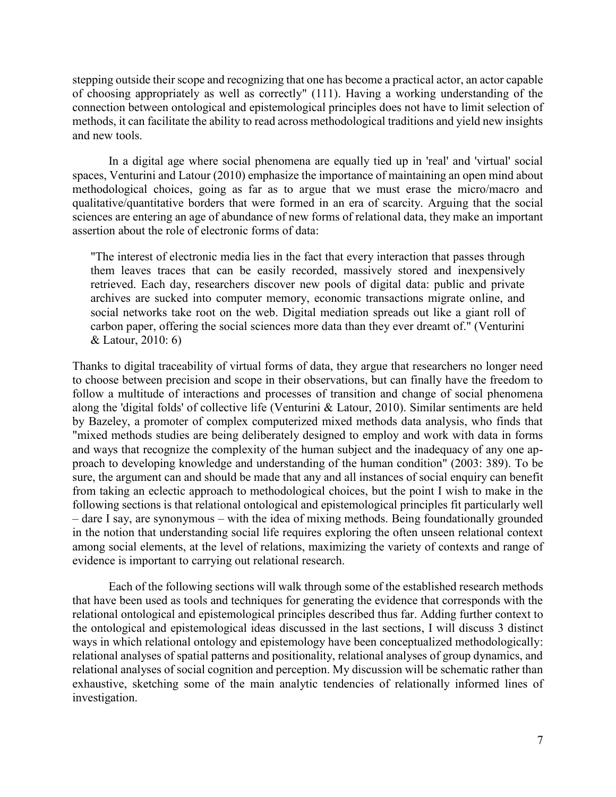stepping outside their scope and recognizing that one has become a practical actor, an actor capable of choosing appropriately as well as correctly" (111). Having a working understanding of the connection between ontological and epistemological principles does not have to limit selection of methods, it can facilitate the ability to read across methodological traditions and yield new insights and new tools.

In a digital age where social phenomena are equally tied up in 'real' and 'virtual' social spaces, Venturini and Latour (2010) emphasize the importance of maintaining an open mind about methodological choices, going as far as to argue that we must erase the micro/macro and qualitative/quantitative borders that were formed in an era of scarcity. Arguing that the social sciences are entering an age of abundance of new forms of relational data, they make an important assertion about the role of electronic forms of data:

"The interest of electronic media lies in the fact that every interaction that passes through them leaves traces that can be easily recorded, massively stored and inexpensively retrieved. Each day, researchers discover new pools of digital data: public and private archives are sucked into computer memory, economic transactions migrate online, and social networks take root on the web. Digital mediation spreads out like a giant roll of carbon paper, offering the social sciences more data than they ever dreamt of." (Venturini & Latour, 2010: 6)

Thanks to digital traceability of virtual forms of data, they argue that researchers no longer need to choose between precision and scope in their observations, but can finally have the freedom to follow a multitude of interactions and processes of transition and change of social phenomena along the 'digital folds' of collective life (Venturini & Latour, 2010). Similar sentiments are held by Bazeley, a promoter of complex computerized mixed methods data analysis, who finds that "mixed methods studies are being deliberately designed to employ and work with data in forms and ways that recognize the complexity of the human subject and the inadequacy of any one approach to developing knowledge and understanding of the human condition" (2003: 389). To be sure, the argument can and should be made that any and all instances of social enquiry can benefit from taking an eclectic approach to methodological choices, but the point I wish to make in the following sections is that relational ontological and epistemological principles fit particularly well  $-$  dare I say, are synonymous  $-$  with the idea of mixing methods. Being foundationally grounded in the notion that understanding social life requires exploring the often unseen relational context among social elements, at the level of relations, maximizing the variety of contexts and range of evidence is important to carrying out relational research.

Each of the following sections will walk through some of the established research methods that have been used as tools and techniques for generating the evidence that corresponds with the relational ontological and epistemological principles described thus far. Adding further context to the ontological and epistemological ideas discussed in the last sections, I will discuss 3 distinct ways in which relational ontology and epistemology have been conceptualized methodologically: relational analyses of spatial patterns and positionality, relational analyses of group dynamics, and relational analyses of social cognition and perception. My discussion will be schematic rather than exhaustive, sketching some of the main analytic tendencies of relationally informed lines of investigation.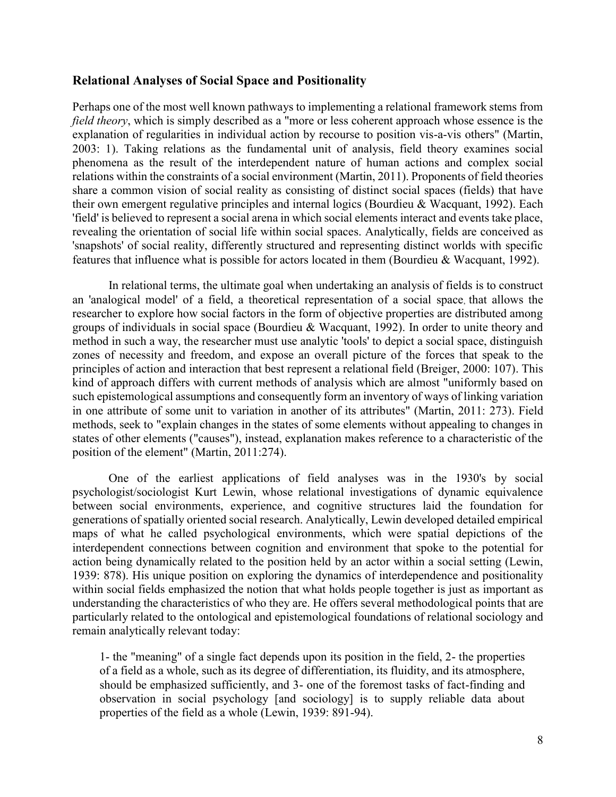#### <span id="page-9-0"></span>**Relational Analyses of Social Space and Positionality**

Perhaps one of the most well known pathways to implementing a relational framework stems from *field theory*, which is simply described as a "more or less coherent approach whose essence is the explanation of regularities in individual action by recourse to position vis-a-vis others" (Martin, 2003: 1). Taking relations as the fundamental unit of analysis, field theory examines social phenomena as the result of the interdependent nature of human actions and complex social relations within the constraints of a social environment (Martin, 2011). Proponents of field theories share a common vision of social reality as consisting of distinct social spaces (fields) that have their own emergent regulative principles and internal logics (Bourdieu & Wacquant, 1992). Each 'field' is believed to represent a social arena in which social elements interact and events take place, revealing the orientation of social life within social spaces. Analytically, fields are conceived as 'snapshots' of social reality, differently structured and representing distinct worlds with specific features that influence what is possible for actors located in them (Bourdieu & Wacquant, 1992).

In relational terms, the ultimate goal when undertaking an analysis of fields is to construct an 'analogical model' of a field, a theoretical representation of a social space, that allows the researcher to explore how social factors in the form of objective properties are distributed among groups of individuals in social space (Bourdieu & Wacquant, 1992). In order to unite theory and method in such a way, the researcher must use analytic 'tools' to depict a social space, distinguish zones of necessity and freedom, and expose an overall picture of the forces that speak to the principles of action and interaction that best represent a relational field (Breiger, 2000: 107). This kind of approach differs with current methods of analysis which are almost "uniformly based on such epistemological assumptions and consequently form an inventory of ways of linking variation in one attribute of some unit to variation in another of its attributes" (Martin, 2011: 273). Field methods, seek to "explain changes in the states of some elements without appealing to changes in states of other elements ("causes"), instead, explanation makes reference to a characteristic of the position of the element" (Martin, 2011:274).

One of the earliest applications of field analyses was in the 1930's by social psychologist/sociologist Kurt Lewin, whose relational investigations of dynamic equivalence between social environments, experience, and cognitive structures laid the foundation for generations of spatially oriented social research. Analytically, Lewin developed detailed empirical maps of what he called psychological environments, which were spatial depictions of the interdependent connections between cognition and environment that spoke to the potential for action being dynamically related to the position held by an actor within a social setting (Lewin, 1939: 878). His unique position on exploring the dynamics of interdependence and positionality within social fields emphasized the notion that what holds people together is just as important as understanding the characteristics of who they are. He offers several methodological points that are particularly related to the ontological and epistemological foundations of relational sociology and remain analytically relevant today:

1- the "meaning" of a single fact depends upon its position in the field, 2- the properties of a field as a whole, such as its degree of differentiation, its fluidity, and its atmosphere, should be emphasized sufficiently, and 3- one of the foremost tasks of fact-finding and observation in social psychology [and sociology] is to supply reliable data about properties of the field as a whole (Lewin, 1939: 891-94).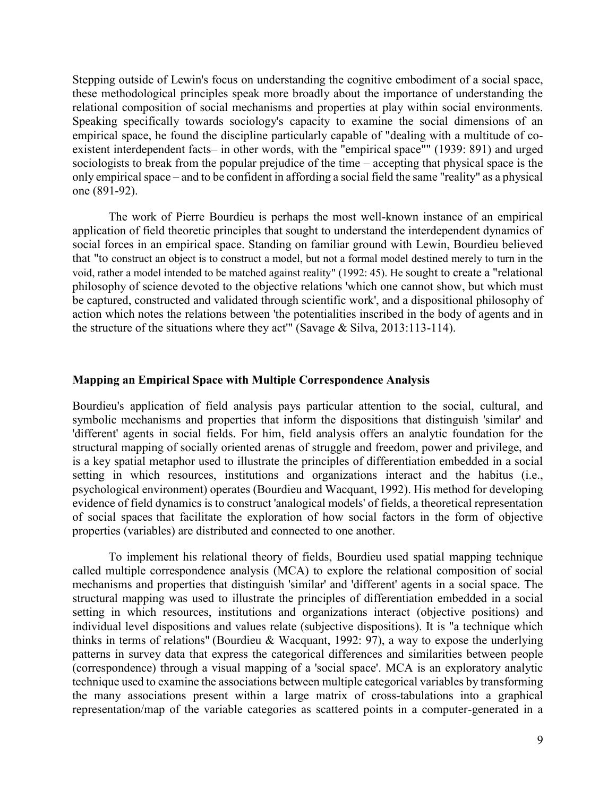Stepping outside of Lewin's focus on understanding the cognitive embodiment of a social space, these methodological principles speak more broadly about the importance of understanding the relational composition of social mechanisms and properties at play within social environments. Speaking specifically towards sociology's capacity to examine the social dimensions of an empirical space, he found the discipline particularly capable of "dealing with a multitude of coexistent interdependent facts– in other words, with the "empirical space"" (1939: 891) and urged sociologists to break from the popular prejudice of the time – accepting that physical space is the only empirical space ‒ and to be confident in affording a social field the same "reality" as a physical one (891-92).

The work of Pierre Bourdieu is perhaps the most well-known instance of an empirical application of field theoretic principles that sought to understand the interdependent dynamics of social forces in an empirical space. Standing on familiar ground with Lewin, Bourdieu believed that "to construct an object is to construct a model, but not a formal model destined merely to turn in the void, rather a model intended to be matched against reality" (1992: 45). He sought to create a "relational philosophy of science devoted to the objective relations 'which one cannot show, but which must be captured, constructed and validated through scientific work', and a dispositional philosophy of action which notes the relations between 'the potentialities inscribed in the body of agents and in the structure of the situations where they act<sup>''</sup> (Savage & Silva, 2013:113-114).

#### <span id="page-10-0"></span>**Mapping an Empirical Space with Multiple Correspondence Analysis**

Bourdieu's application of field analysis pays particular attention to the social, cultural, and symbolic mechanisms and properties that inform the dispositions that distinguish 'similar' and 'different' agents in social fields. For him, field analysis offers an analytic foundation for the structural mapping of socially oriented arenas of struggle and freedom, power and privilege, and is a key spatial metaphor used to illustrate the principles of differentiation embedded in a social setting in which resources, institutions and organizations interact and the habitus (i.e., psychological environment) operates (Bourdieu and Wacquant, 1992). His method for developing evidence of field dynamics is to construct 'analogical models' of fields, a theoretical representation of social spaces that facilitate the exploration of how social factors in the form of objective properties (variables) are distributed and connected to one another.

To implement his relational theory of fields, Bourdieu used spatial mapping technique called multiple correspondence analysis (MCA) to explore the relational composition of social mechanisms and properties that distinguish 'similar' and 'different' agents in a social space. The structural mapping was used to illustrate the principles of differentiation embedded in a social setting in which resources, institutions and organizations interact (objective positions) and individual level dispositions and values relate (subjective dispositions). It is "a technique which thinks in terms of relations" (Bourdieu & Wacquant, 1992: 97), a way to expose the underlying patterns in survey data that express the categorical differences and similarities between people (correspondence) through a visual mapping of a 'social space'. MCA is an exploratory analytic technique used to examine the associations between multiple categorical variables by transforming the many associations present within a large matrix of cross-tabulations into a graphical representation/map of the variable categories as scattered points in a computer-generated in a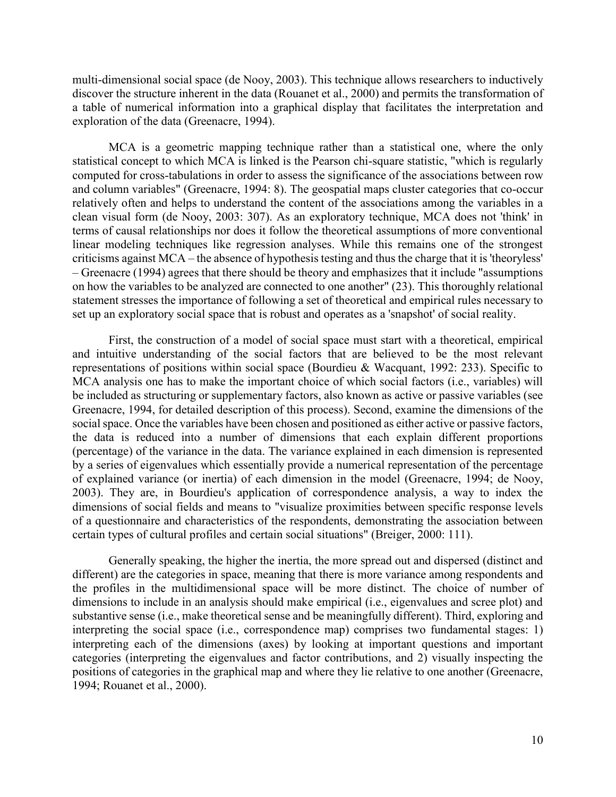multi-dimensional social space (de Nooy, 2003). This technique allows researchers to inductively discover the structure inherent in the data (Rouanet et al., 2000) and permits the transformation of a table of numerical information into a graphical display that facilitates the interpretation and exploration of the data (Greenacre, 1994).

MCA is a geometric mapping technique rather than a statistical one, where the only statistical concept to which MCA is linked is the Pearson chi-square statistic, "which is regularly computed for cross-tabulations in order to assess the significance of the associations between row and column variables" (Greenacre, 1994: 8). The geospatial maps cluster categories that co-occur relatively often and helps to understand the content of the associations among the variables in a clean visual form (de Nooy, 2003: 307). As an exploratory technique, MCA does not 'think' in terms of causal relationships nor does it follow the theoretical assumptions of more conventional linear modeling techniques like regression analyses. While this remains one of the strongest criticisms against MCA – the absence of hypothesis testing and thus the charge that it is 'theoryless' ‒ Greenacre (1994) agrees that there should be theory and emphasizes that it include "assumptions on how the variables to be analyzed are connected to one another" (23). This thoroughly relational statement stresses the importance of following a set of theoretical and empirical rules necessary to set up an exploratory social space that is robust and operates as a 'snapshot' of social reality.

First, the construction of a model of social space must start with a theoretical, empirical and intuitive understanding of the social factors that are believed to be the most relevant representations of positions within social space (Bourdieu & Wacquant, 1992: 233). Specific to MCA analysis one has to make the important choice of which social factors (i.e., variables) will be included as structuring or supplementary factors, also known as active or passive variables (see Greenacre, 1994, for detailed description of this process). Second, examine the dimensions of the social space. Once the variables have been chosen and positioned as either active or passive factors, the data is reduced into a number of dimensions that each explain different proportions (percentage) of the variance in the data. The variance explained in each dimension is represented by a series of eigenvalues which essentially provide a numerical representation of the percentage of explained variance (or inertia) of each dimension in the model (Greenacre, 1994; de Nooy, 2003). They are, in Bourdieu's application of correspondence analysis, a way to index the dimensions of social fields and means to "visualize proximities between specific response levels of a questionnaire and characteristics of the respondents, demonstrating the association between certain types of cultural profiles and certain social situations" (Breiger, 2000: 111).

Generally speaking, the higher the inertia, the more spread out and dispersed (distinct and different) are the categories in space, meaning that there is more variance among respondents and the profiles in the multidimensional space will be more distinct. The choice of number of dimensions to include in an analysis should make empirical (i.e., eigenvalues and scree plot) and substantive sense (i.e., make theoretical sense and be meaningfully different). Third, exploring and interpreting the social space (i.e., correspondence map) comprises two fundamental stages: 1) interpreting each of the dimensions (axes) by looking at important questions and important categories (interpreting the eigenvalues and factor contributions, and 2) visually inspecting the positions of categories in the graphical map and where they lie relative to one another (Greenacre, 1994; Rouanet et al., 2000).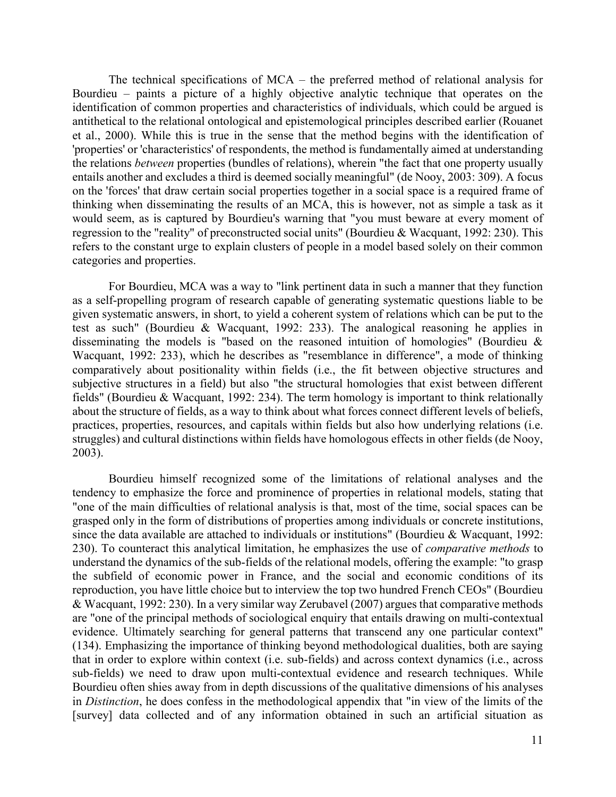The technical specifications of  $MCA$  – the preferred method of relational analysis for Bourdieu  $-$  paints a picture of a highly objective analytic technique that operates on the identification of common properties and characteristics of individuals, which could be argued is antithetical to the relational ontological and epistemological principles described earlier (Rouanet et al., 2000). While this is true in the sense that the method begins with the identification of 'properties' or 'characteristics' of respondents, the method is fundamentally aimed at understanding the relations *between* properties (bundles of relations), wherein "the fact that one property usually entails another and excludes a third is deemed socially meaningful" (de Nooy, 2003: 309). A focus on the 'forces' that draw certain social properties together in a social space is a required frame of thinking when disseminating the results of an MCA, this is however, not as simple a task as it would seem, as is captured by Bourdieu's warning that "you must beware at every moment of regression to the "reality" of preconstructed social units" (Bourdieu & Wacquant, 1992: 230). This refers to the constant urge to explain clusters of people in a model based solely on their common categories and properties.

For Bourdieu, MCA was a way to "link pertinent data in such a manner that they function as a self-propelling program of research capable of generating systematic questions liable to be given systematic answers, in short, to yield a coherent system of relations which can be put to the test as such" (Bourdieu & Wacquant, 1992: 233). The analogical reasoning he applies in disseminating the models is "based on the reasoned intuition of homologies" (Bourdieu & Wacquant, 1992: 233), which he describes as "resemblance in difference", a mode of thinking comparatively about positionality within fields (i.e., the fit between objective structures and subjective structures in a field) but also "the structural homologies that exist between different fields" (Bourdieu & Wacquant, 1992: 234). The term homology is important to think relationally about the structure of fields, as a way to think about what forces connect different levels of beliefs, practices, properties, resources, and capitals within fields but also how underlying relations (i.e. struggles) and cultural distinctions within fields have homologous effects in other fields (de Nooy, 2003).

Bourdieu himself recognized some of the limitations of relational analyses and the tendency to emphasize the force and prominence of properties in relational models, stating that "one of the main difficulties of relational analysis is that, most of the time, social spaces can be grasped only in the form of distributions of properties among individuals or concrete institutions, since the data available are attached to individuals or institutions" (Bourdieu & Wacquant, 1992: 230). To counteract this analytical limitation, he emphasizes the use of *comparative methods* to understand the dynamics of the sub-fields of the relational models, offering the example: "to grasp the subfield of economic power in France, and the social and economic conditions of its reproduction, you have little choice but to interview the top two hundred French CEOs" (Bourdieu & Wacquant, 1992: 230). In a very similar way Zerubavel (2007) argues that comparative methods are "one of the principal methods of sociological enquiry that entails drawing on multi-contextual evidence. Ultimately searching for general patterns that transcend any one particular context" (134). Emphasizing the importance of thinking beyond methodological dualities, both are saying that in order to explore within context (i.e. sub-fields) and across context dynamics (i.e., across sub-fields) we need to draw upon multi-contextual evidence and research techniques. While Bourdieu often shies away from in depth discussions of the qualitative dimensions of his analyses in *Distinction*, he does confess in the methodological appendix that "in view of the limits of the [survey] data collected and of any information obtained in such an artificial situation as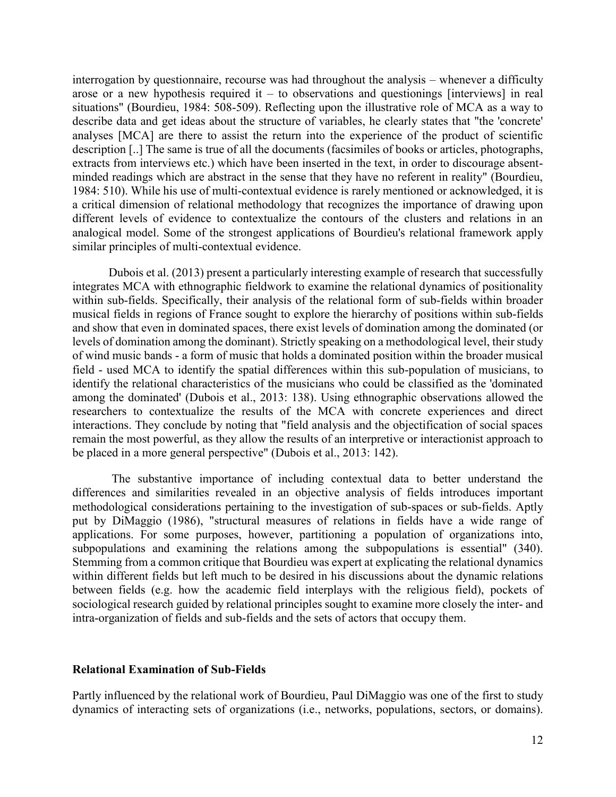interrogation by questionnaire, recourse was had throughout the analysis – whenever a difficulty arose or a new hypothesis required it  $-$  to observations and questionings [interviews] in real situations" (Bourdieu, 1984: 508-509). Reflecting upon the illustrative role of MCA as a way to describe data and get ideas about the structure of variables, he clearly states that "the 'concrete' analyses [MCA] are there to assist the return into the experience of the product of scientific description [..] The same is true of all the documents (facsimiles of books or articles, photographs, extracts from interviews etc.) which have been inserted in the text, in order to discourage absentminded readings which are abstract in the sense that they have no referent in reality" (Bourdieu, 1984: 510). While his use of multi-contextual evidence is rarely mentioned or acknowledged, it is a critical dimension of relational methodology that recognizes the importance of drawing upon different levels of evidence to contextualize the contours of the clusters and relations in an analogical model. Some of the strongest applications of Bourdieu's relational framework apply similar principles of multi-contextual evidence.

Dubois et al. (2013) present a particularly interesting example of research that successfully integrates MCA with ethnographic fieldwork to examine the relational dynamics of positionality within sub-fields. Specifically, their analysis of the relational form of sub-fields within broader musical fields in regions of France sought to explore the hierarchy of positions within sub-fields and show that even in dominated spaces, there exist levels of domination among the dominated (or levels of domination among the dominant). Strictly speaking on a methodological level, their study of wind music bands - a form of music that holds a dominated position within the broader musical field - used MCA to identify the spatial differences within this sub-population of musicians, to identify the relational characteristics of the musicians who could be classified as the 'dominated among the dominated' (Dubois et al., 2013: 138). Using ethnographic observations allowed the researchers to contextualize the results of the MCA with concrete experiences and direct interactions. They conclude by noting that "field analysis and the objectification of social spaces remain the most powerful, as they allow the results of an interpretive or interactionist approach to be placed in a more general perspective" (Dubois et al., 2013: 142).

The substantive importance of including contextual data to better understand the differences and similarities revealed in an objective analysis of fields introduces important methodological considerations pertaining to the investigation of sub-spaces or sub-fields. Aptly put by DiMaggio (1986), "structural measures of relations in fields have a wide range of applications. For some purposes, however, partitioning a population of organizations into, subpopulations and examining the relations among the subpopulations is essential" (340). Stemming from a common critique that Bourdieu was expert at explicating the relational dynamics within different fields but left much to be desired in his discussions about the dynamic relations between fields (e.g. how the academic field interplays with the religious field), pockets of sociological research guided by relational principles sought to examine more closely the inter- and intra-organization of fields and sub-fields and the sets of actors that occupy them.

#### <span id="page-13-0"></span>**Relational Examination of Sub-Fields**

Partly influenced by the relational work of Bourdieu, Paul DiMaggio was one of the first to study dynamics of interacting sets of organizations (i.e., networks, populations, sectors, or domains).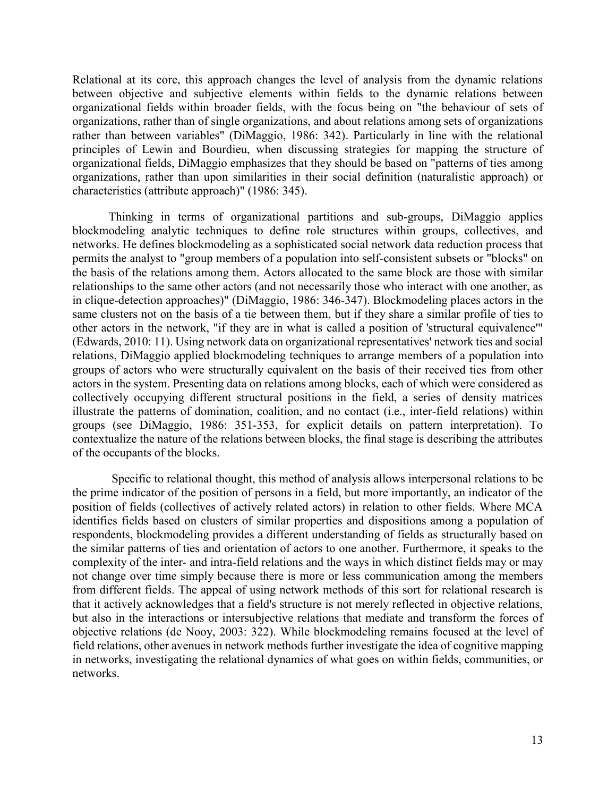Relational at its core, this approach changes the level of analysis from the dynamic relations between objective and subjective elements within fields to the dynamic relations between organizational fields within broader fields, with the focus being on "the behaviour of sets of organizations, rather than of single organizations, and about relations among sets of organizations rather than between variables" (DiMaggio, 1986: 342). Particularly in line with the relational principles of Lewin and Bourdieu, when discussing strategies for mapping the structure of organizational fields, DiMaggio emphasizes that they should be based on "patterns of ties among organizations, rather than upon similarities in their social definition (naturalistic approach) or characteristics (attribute approach)" (1986: 345).

Thinking in terms of organizational partitions and sub-groups, DiMaggio applies blockmodeling analytic techniques to define role structures within groups, collectives, and networks. He defines blockmodeling as a sophisticated social network data reduction process that permits the analyst to "group members of a population into self-consistent subsets or "blocks" on the basis of the relations among them. Actors allocated to the same block are those with similar relationships to the same other actors (and not necessarily those who interact with one another, as in clique-detection approaches)" (DiMaggio, 1986: 346-347). Blockmodeling places actors in the same clusters not on the basis of a tie between them, but if they share a similar profile of ties to other actors in the network, "if they are in what is called a position of 'structural equivalence'" (Edwards, 2010: 11). Using network data on organizational representatives' network ties and social relations, DiMaggio applied blockmodeling techniques to arrange members of a population into groups of actors who were structurally equivalent on the basis of their received ties from other actors in the system. Presenting data on relations among blocks, each of which were considered as collectively occupying different structural positions in the field, a series of density matrices illustrate the patterns of domination, coalition, and no contact (i.e., inter-field relations) within groups (see DiMaggio, 1986: 351-353, for explicit details on pattern interpretation). To contextualize the nature of the relations between blocks, the final stage is describing the attributes of the occupants of the blocks.

Specific to relational thought, this method of analysis allows interpersonal relations to be the prime indicator of the position of persons in a field, but more importantly, an indicator of the position of fields (collectives of actively related actors) in relation to other fields. Where MCA identifies fields based on clusters of similar properties and dispositions among a population of respondents, blockmodeling provides a different understanding of fields as structurally based on the similar patterns of ties and orientation of actors to one another. Furthermore, it speaks to the complexity of the inter- and intra-field relations and the ways in which distinct fields may or may not change over time simply because there is more or less communication among the members from different fields. The appeal of using network methods of this sort for relational research is that it actively acknowledges that a field's structure is not merely reflected in objective relations, but also in the interactions or intersubjective relations that mediate and transform the forces of objective relations (de Nooy, 2003: 322). While blockmodeling remains focused at the level of field relations, other avenues in network methods further investigate the idea of cognitive mapping in networks, investigating the relational dynamics of what goes on within fields, communities, or networks.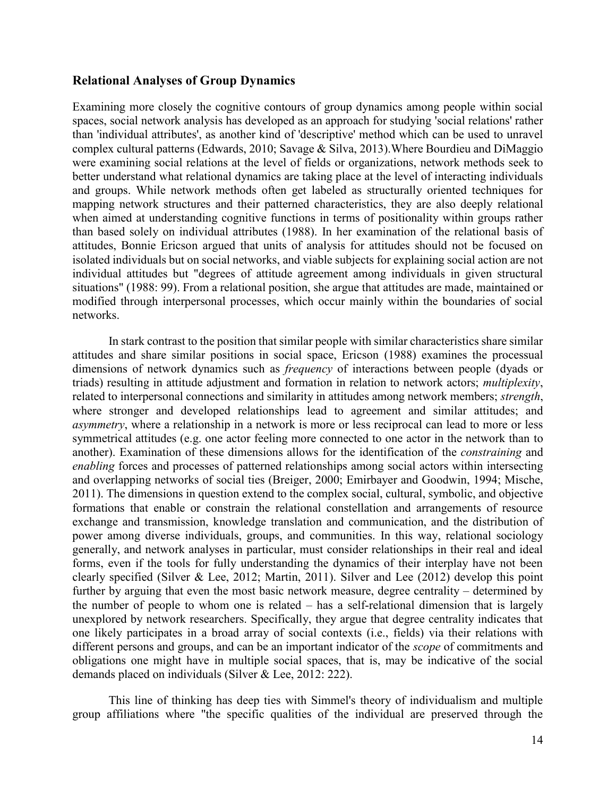#### <span id="page-15-0"></span>**Relational Analyses of Group Dynamics**

Examining more closely the cognitive contours of group dynamics among people within social spaces, social network analysis has developed as an approach for studying 'social relations' rather than 'individual attributes', as another kind of 'descriptive' method which can be used to unravel complex cultural patterns (Edwards, 2010; Savage & Silva, 2013).Where Bourdieu and DiMaggio were examining social relations at the level of fields or organizations, network methods seek to better understand what relational dynamics are taking place at the level of interacting individuals and groups. While network methods often get labeled as structurally oriented techniques for mapping network structures and their patterned characteristics, they are also deeply relational when aimed at understanding cognitive functions in terms of positionality within groups rather than based solely on individual attributes (1988). In her examination of the relational basis of attitudes, Bonnie Ericson argued that units of analysis for attitudes should not be focused on isolated individuals but on social networks, and viable subjects for explaining social action are not individual attitudes but "degrees of attitude agreement among individuals in given structural situations" (1988: 99). From a relational position, she argue that attitudes are made, maintained or modified through interpersonal processes, which occur mainly within the boundaries of social networks.

In stark contrast to the position that similar people with similar characteristics share similar attitudes and share similar positions in social space, Ericson (1988) examines the processual dimensions of network dynamics such as *frequency* of interactions between people (dyads or triads) resulting in attitude adjustment and formation in relation to network actors; *multiplexity*, related to interpersonal connections and similarity in attitudes among network members; *strength*, where stronger and developed relationships lead to agreement and similar attitudes; and *asymmetry*, where a relationship in a network is more or less reciprocal can lead to more or less symmetrical attitudes (e.g. one actor feeling more connected to one actor in the network than to another). Examination of these dimensions allows for the identification of the *constraining* and *enabling* forces and processes of patterned relationships among social actors within intersecting and overlapping networks of social ties (Breiger, 2000; Emirbayer and Goodwin, 1994; Mische, 2011). The dimensions in question extend to the complex social, cultural, symbolic, and objective formations that enable or constrain the relational constellation and arrangements of resource exchange and transmission, knowledge translation and communication, and the distribution of power among diverse individuals, groups, and communities. In this way, relational sociology generally, and network analyses in particular, must consider relationships in their real and ideal forms, even if the tools for fully understanding the dynamics of their interplay have not been clearly specified (Silver & Lee, 2012; Martin, 2011). Silver and Lee (2012) develop this point further by arguing that even the most basic network measure, degree centrality  $-$  determined by the number of people to whom one is related  $-$  has a self-relational dimension that is largely unexplored by network researchers. Specifically, they argue that degree centrality indicates that one likely participates in a broad array of social contexts (i.e., fields) via their relations with different persons and groups, and can be an important indicator of the *scope* of commitments and obligations one might have in multiple social spaces, that is, may be indicative of the social demands placed on individuals (Silver & Lee, 2012: 222).

This line of thinking has deep ties with Simmel's theory of individualism and multiple group affiliations where "the specific qualities of the individual are preserved through the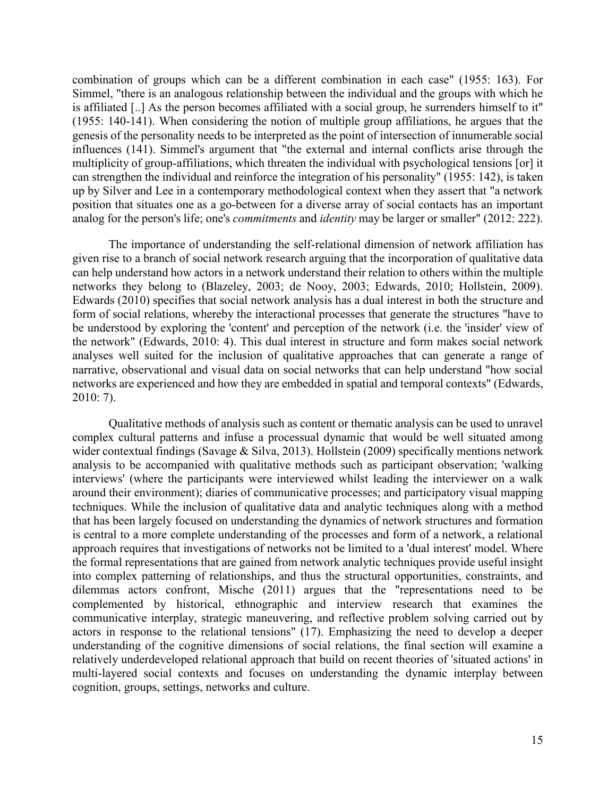combination of groups which can be a different combination in each case" (1955: 163). For Simmel, "there is an analogous relationship between the individual and the groups with which he is affiliated [..] As the person becomes affiliated with a social group, he surrenders himself to it" (1955: 140-141). When considering the notion of multiple group affiliations, he argues that the genesis of the personality needs to be interpreted as the point of intersection of innumerable social influences (141). Simmel's argument that "the external and internal conflicts arise through the multiplicity of group-affiliations, which threaten the individual with psychological tensions [or] it can strengthen the individual and reinforce the integration of his personality" (1955: 142), is taken up by Silver and Lee in a contemporary methodological context when they assert that "a network position that situates one as a go-between for a diverse array of social contacts has an important analog for the person's life; one's *commitments* and *identity* may be larger or smaller" (2012: 222).

The importance of understanding the self-relational dimension of network affiliation has given rise to a branch of social network research arguing that the incorporation of qualitative data can help understand how actors in a network understand their relation to others within the multiple networks they belong to (Blazeley, 2003; de Nooy, 2003; Edwards, 2010; Hollstein, 2009). Edwards (2010) specifies that social network analysis has a dual interest in both the structure and form of social relations, whereby the interactional processes that generate the structures "have to be understood by exploring the 'content' and perception of the network (i.e. the 'insider' view of the network" (Edwards, 2010: 4). This dual interest in structure and form makes social network analyses well suited for the inclusion of qualitative approaches that can generate a range of narrative, observational and visual data on social networks that can help understand "how social networks are experienced and how they are embedded in spatial and temporal contexts" (Edwards, 2010: 7).

Qualitative methods of analysis such as content or thematic analysis can be used to unravel complex cultural patterns and infuse a processual dynamic that would be well situated among wider contextual findings (Savage & Silva, 2013). Hollstein (2009) specifically mentions network analysis to be accompanied with qualitative methods such as participant observation; 'walking interviews' (where the participants were interviewed whilst leading the interviewer on a walk around their environment); diaries of communicative processes; and participatory visual mapping techniques. While the inclusion of qualitative data and analytic techniques along with a method that has been largely focused on understanding the dynamics of network structures and formation is central to a more complete understanding of the processes and form of a network, a relational approach requires that investigations of networks not be limited to a 'dual interest' model. Where the formal representations that are gained from network analytic techniques provide useful insight into complex patterning of relationships, and thus the structural opportunities, constraints, and dilemmas actors confront, Mische (2011) argues that the "representations need to be complemented by historical, ethnographic and interview research that examines the communicative interplay, strategic maneuvering, and reflective problem solving carried out by actors in response to the relational tensions" (17). Emphasizing the need to develop a deeper understanding of the cognitive dimensions of social relations, the final section will examine a relatively underdeveloped relational approach that build on recent theories of 'situated actions' in multi-layered social contexts and focuses on understanding the dynamic interplay between cognition, groups, settings, networks and culture.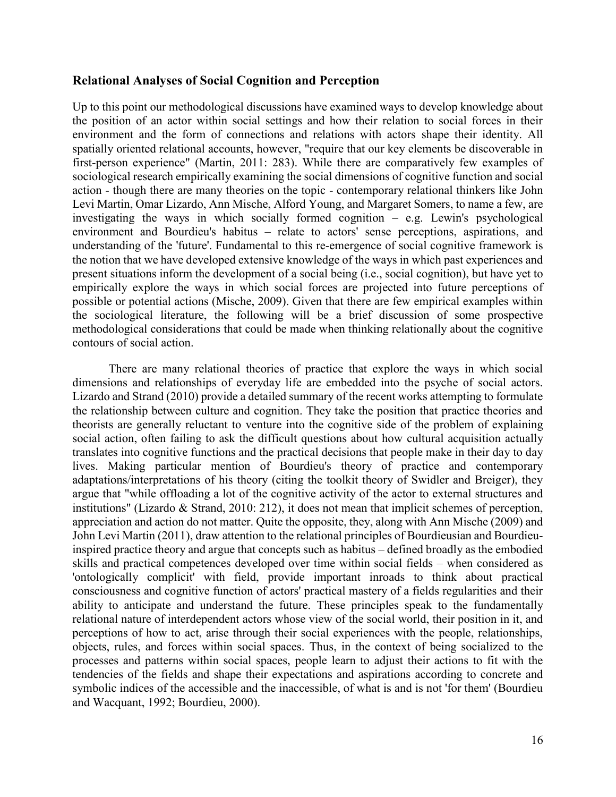#### <span id="page-17-0"></span>**Relational Analyses of Social Cognition and Perception**

Up to this point our methodological discussions have examined ways to develop knowledge about the position of an actor within social settings and how their relation to social forces in their environment and the form of connections and relations with actors shape their identity. All spatially oriented relational accounts, however, "require that our key elements be discoverable in first-person experience" (Martin, 2011: 283). While there are comparatively few examples of sociological research empirically examining the social dimensions of cognitive function and social action - though there are many theories on the topic - contemporary relational thinkers like John Levi Martin, Omar Lizardo, Ann Mische, Alford Young, and Margaret Somers, to name a few, are investigating the ways in which socially formed cognition  $-$  e.g. Lewin's psychological environment and Bourdieu's habitus – relate to actors' sense perceptions, aspirations, and understanding of the 'future'. Fundamental to this re-emergence of social cognitive framework is the notion that we have developed extensive knowledge of the ways in which past experiences and present situations inform the development of a social being (i.e., social cognition), but have yet to empirically explore the ways in which social forces are projected into future perceptions of possible or potential actions (Mische, 2009). Given that there are few empirical examples within the sociological literature, the following will be a brief discussion of some prospective methodological considerations that could be made when thinking relationally about the cognitive contours of social action.

There are many relational theories of practice that explore the ways in which social dimensions and relationships of everyday life are embedded into the psyche of social actors. Lizardo and Strand (2010) provide a detailed summary of the recent works attempting to formulate the relationship between culture and cognition. They take the position that practice theories and theorists are generally reluctant to venture into the cognitive side of the problem of explaining social action, often failing to ask the difficult questions about how cultural acquisition actually translates into cognitive functions and the practical decisions that people make in their day to day lives. Making particular mention of Bourdieu's theory of practice and contemporary adaptations/interpretations of his theory (citing the toolkit theory of Swidler and Breiger), they argue that "while offloading a lot of the cognitive activity of the actor to external structures and institutions" (Lizardo & Strand, 2010: 212), it does not mean that implicit schemes of perception, appreciation and action do not matter. Quite the opposite, they, along with Ann Mische (2009) and John Levi Martin (2011), draw attention to the relational principles of Bourdieusian and Bourdieuinspired practice theory and argue that concepts such as habitus – defined broadly as the embodied skills and practical competences developed over time within social fields – when considered as 'ontologically complicit' with field, provide important inroads to think about practical consciousness and cognitive function of actors' practical mastery of a fields regularities and their ability to anticipate and understand the future. These principles speak to the fundamentally relational nature of interdependent actors whose view of the social world, their position in it, and perceptions of how to act, arise through their social experiences with the people, relationships, objects, rules, and forces within social spaces. Thus, in the context of being socialized to the processes and patterns within social spaces, people learn to adjust their actions to fit with the tendencies of the fields and shape their expectations and aspirations according to concrete and symbolic indices of the accessible and the inaccessible, of what is and is not 'for them' (Bourdieu and Wacquant, 1992; Bourdieu, 2000).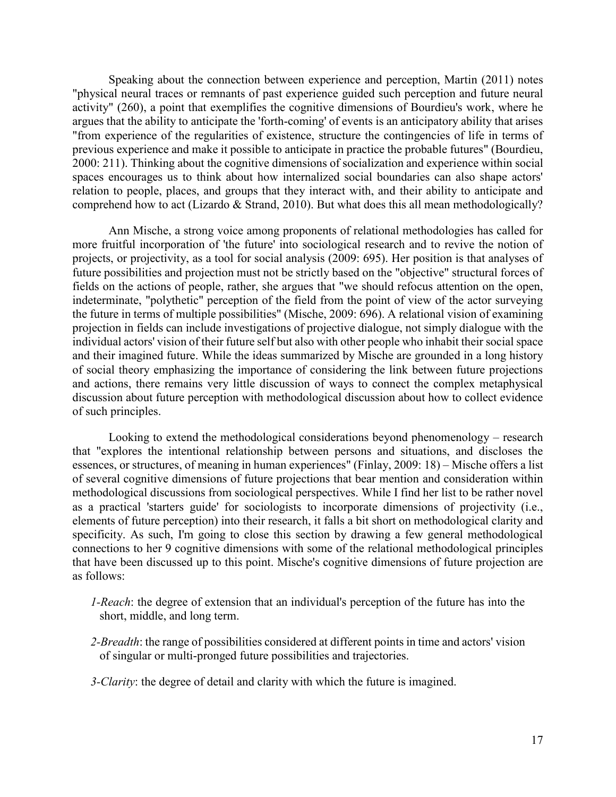Speaking about the connection between experience and perception, Martin (2011) notes "physical neural traces or remnants of past experience guided such perception and future neural activity" (260), a point that exemplifies the cognitive dimensions of Bourdieu's work, where he argues that the ability to anticipate the 'forth-coming' of events is an anticipatory ability that arises "from experience of the regularities of existence, structure the contingencies of life in terms of previous experience and make it possible to anticipate in practice the probable futures" (Bourdieu, 2000: 211). Thinking about the cognitive dimensions of socialization and experience within social spaces encourages us to think about how internalized social boundaries can also shape actors' relation to people, places, and groups that they interact with, and their ability to anticipate and comprehend how to act (Lizardo & Strand, 2010). But what does this all mean methodologically?

Ann Mische, a strong voice among proponents of relational methodologies has called for more fruitful incorporation of 'the future' into sociological research and to revive the notion of projects, or projectivity, as a tool for social analysis (2009: 695). Her position is that analyses of future possibilities and projection must not be strictly based on the "objective" structural forces of fields on the actions of people, rather, she argues that "we should refocus attention on the open, indeterminate, "polythetic" perception of the field from the point of view of the actor surveying the future in terms of multiple possibilities" (Mische, 2009: 696). A relational vision of examining projection in fields can include investigations of projective dialogue, not simply dialogue with the individual actors' vision of their future self but also with other people who inhabit their social space and their imagined future. While the ideas summarized by Mische are grounded in a long history of social theory emphasizing the importance of considering the link between future projections and actions, there remains very little discussion of ways to connect the complex metaphysical discussion about future perception with methodological discussion about how to collect evidence of such principles.

Looking to extend the methodological considerations beyond phenomenology  $-$  research that "explores the intentional relationship between persons and situations, and discloses the essences, or structures, of meaning in human experiences" (Finlay, 2009: 18) – Mische offers a list of several cognitive dimensions of future projections that bear mention and consideration within methodological discussions from sociological perspectives. While I find her list to be rather novel as a practical 'starters guide' for sociologists to incorporate dimensions of projectivity (i.e., elements of future perception) into their research, it falls a bit short on methodological clarity and specificity. As such, I'm going to close this section by drawing a few general methodological connections to her 9 cognitive dimensions with some of the relational methodological principles that have been discussed up to this point. Mische's cognitive dimensions of future projection are as follows:

- *1-Reach*: the degree of extension that an individual's perception of the future has into the short, middle, and long term.
- *2-Breadth*: the range of possibilities considered at different points in time and actors' vision of singular or multi-pronged future possibilities and trajectories.

*3-Clarity*: the degree of detail and clarity with which the future is imagined.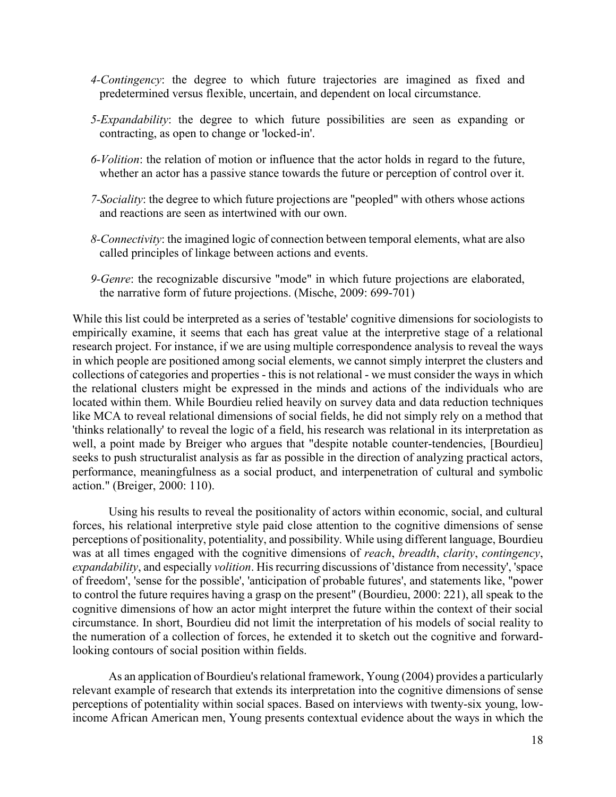- *4-Contingency*: the degree to which future trajectories are imagined as fixed and predetermined versus flexible, uncertain, and dependent on local circumstance.
- *5-Expandability*: the degree to which future possibilities are seen as expanding or contracting, as open to change or 'locked-in'.
- *6-Volition*: the relation of motion or influence that the actor holds in regard to the future, whether an actor has a passive stance towards the future or perception of control over it.
- *7-Sociality*: the degree to which future projections are "peopled" with others whose actions and reactions are seen as intertwined with our own.
- *8-Connectivity*: the imagined logic of connection between temporal elements, what are also called principles of linkage between actions and events.
- *9-Genre*: the recognizable discursive "mode" in which future projections are elaborated, the narrative form of future projections. (Mische, 2009: 699-701)

While this list could be interpreted as a series of 'testable' cognitive dimensions for sociologists to empirically examine, it seems that each has great value at the interpretive stage of a relational research project. For instance, if we are using multiple correspondence analysis to reveal the ways in which people are positioned among social elements, we cannot simply interpret the clusters and collections of categories and properties - this is not relational - we must consider the ways in which the relational clusters might be expressed in the minds and actions of the individuals who are located within them. While Bourdieu relied heavily on survey data and data reduction techniques like MCA to reveal relational dimensions of social fields, he did not simply rely on a method that 'thinks relationally' to reveal the logic of a field, his research was relational in its interpretation as well, a point made by Breiger who argues that "despite notable counter-tendencies, [Bourdieu] seeks to push structuralist analysis as far as possible in the direction of analyzing practical actors, performance, meaningfulness as a social product, and interpenetration of cultural and symbolic action." (Breiger, 2000: 110).

Using his results to reveal the positionality of actors within economic, social, and cultural forces, his relational interpretive style paid close attention to the cognitive dimensions of sense perceptions of positionality, potentiality, and possibility. While using different language, Bourdieu was at all times engaged with the cognitive dimensions of *reach*, *breadth*, *clarity*, *contingency*, *expandability*, and especially *volition*. His recurring discussions of 'distance from necessity', 'space of freedom', 'sense for the possible', 'anticipation of probable futures', and statements like, "power to control the future requires having a grasp on the present" (Bourdieu, 2000: 221), all speak to the cognitive dimensions of how an actor might interpret the future within the context of their social circumstance. In short, Bourdieu did not limit the interpretation of his models of social reality to the numeration of a collection of forces, he extended it to sketch out the cognitive and forwardlooking contours of social position within fields.

As an application of Bourdieu's relational framework, Young (2004) provides a particularly relevant example of research that extends its interpretation into the cognitive dimensions of sense perceptions of potentiality within social spaces. Based on interviews with twenty-six young, lowincome African American men, Young presents contextual evidence about the ways in which the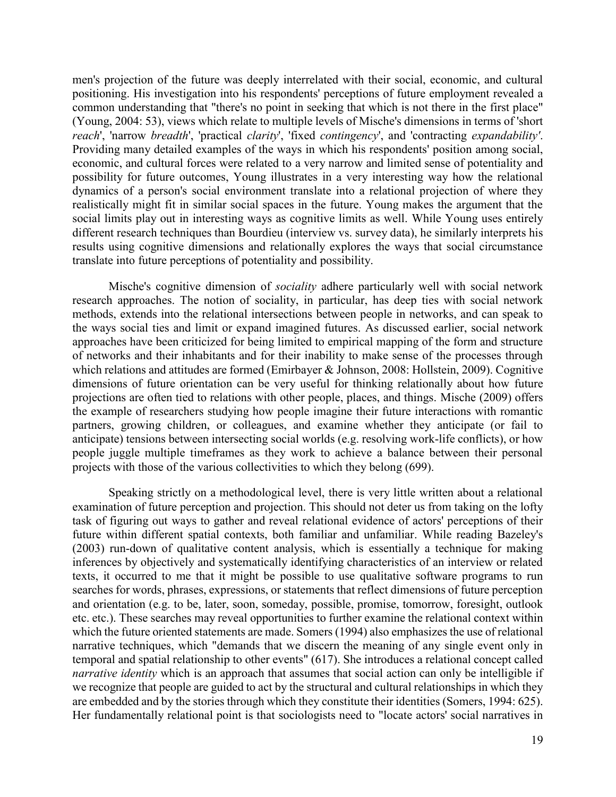men's projection of the future was deeply interrelated with their social, economic, and cultural positioning. His investigation into his respondents' perceptions of future employment revealed a common understanding that "there's no point in seeking that which is not there in the first place" (Young, 2004: 53), views which relate to multiple levels of Mische's dimensions in terms of 'short *reach*', 'narrow *breadth*', 'practical *clarity*', 'fixed *contingency*', and 'contracting *expandability'*. Providing many detailed examples of the ways in which his respondents' position among social, economic, and cultural forces were related to a very narrow and limited sense of potentiality and possibility for future outcomes, Young illustrates in a very interesting way how the relational dynamics of a person's social environment translate into a relational projection of where they realistically might fit in similar social spaces in the future. Young makes the argument that the social limits play out in interesting ways as cognitive limits as well. While Young uses entirely different research techniques than Bourdieu (interview vs. survey data), he similarly interprets his results using cognitive dimensions and relationally explores the ways that social circumstance translate into future perceptions of potentiality and possibility.

Mische's cognitive dimension of *sociality* adhere particularly well with social network research approaches. The notion of sociality, in particular, has deep ties with social network methods, extends into the relational intersections between people in networks, and can speak to the ways social ties and limit or expand imagined futures. As discussed earlier, social network approaches have been criticized for being limited to empirical mapping of the form and structure of networks and their inhabitants and for their inability to make sense of the processes through which relations and attitudes are formed (Emirbayer & Johnson, 2008: Hollstein, 2009). Cognitive dimensions of future orientation can be very useful for thinking relationally about how future projections are often tied to relations with other people, places, and things. Mische (2009) offers the example of researchers studying how people imagine their future interactions with romantic partners, growing children, or colleagues, and examine whether they anticipate (or fail to anticipate) tensions between intersecting social worlds (e.g. resolving work-life conflicts), or how people juggle multiple timeframes as they work to achieve a balance between their personal projects with those of the various collectivities to which they belong (699).

Speaking strictly on a methodological level, there is very little written about a relational examination of future perception and projection. This should not deter us from taking on the lofty task of figuring out ways to gather and reveal relational evidence of actors' perceptions of their future within different spatial contexts, both familiar and unfamiliar. While reading Bazeley's (2003) run-down of qualitative content analysis, which is essentially a technique for making inferences by objectively and systematically identifying characteristics of an interview or related texts, it occurred to me that it might be possible to use qualitative software programs to run searches for words, phrases, expressions, or statements that reflect dimensions of future perception and orientation (e.g. to be, later, soon, someday, possible, promise, tomorrow, foresight, outlook etc. etc.). These searches may reveal opportunities to further examine the relational context within which the future oriented statements are made. Somers (1994) also emphasizes the use of relational narrative techniques, which "demands that we discern the meaning of any single event only in temporal and spatial relationship to other events" (617). She introduces a relational concept called *narrative identity* which is an approach that assumes that social action can only be intelligible if we recognize that people are guided to act by the structural and cultural relationships in which they are embedded and by the stories through which they constitute their identities (Somers, 1994: 625). Her fundamentally relational point is that sociologists need to "locate actors' social narratives in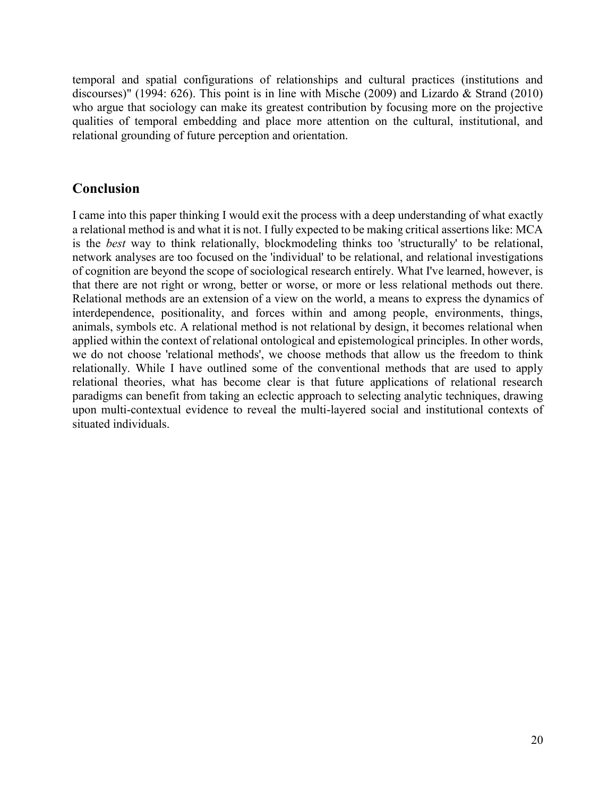temporal and spatial configurations of relationships and cultural practices (institutions and discourses)" (1994: 626). This point is in line with Mische (2009) and Lizardo & Strand (2010) who argue that sociology can make its greatest contribution by focusing more on the projective qualities of temporal embedding and place more attention on the cultural, institutional, and relational grounding of future perception and orientation.

## <span id="page-21-0"></span>**Conclusion**

I came into this paper thinking I would exit the process with a deep understanding of what exactly a relational method is and what it is not. I fully expected to be making critical assertions like: MCA is the *best* way to think relationally, blockmodeling thinks too 'structurally' to be relational, network analyses are too focused on the 'individual' to be relational, and relational investigations of cognition are beyond the scope of sociological research entirely. What I've learned, however, is that there are not right or wrong, better or worse, or more or less relational methods out there. Relational methods are an extension of a view on the world, a means to express the dynamics of interdependence, positionality, and forces within and among people, environments, things, animals, symbols etc. A relational method is not relational by design, it becomes relational when applied within the context of relational ontological and epistemological principles. In other words, we do not choose 'relational methods', we choose methods that allow us the freedom to think relationally. While I have outlined some of the conventional methods that are used to apply relational theories, what has become clear is that future applications of relational research paradigms can benefit from taking an eclectic approach to selecting analytic techniques, drawing upon multi-contextual evidence to reveal the multi-layered social and institutional contexts of situated individuals.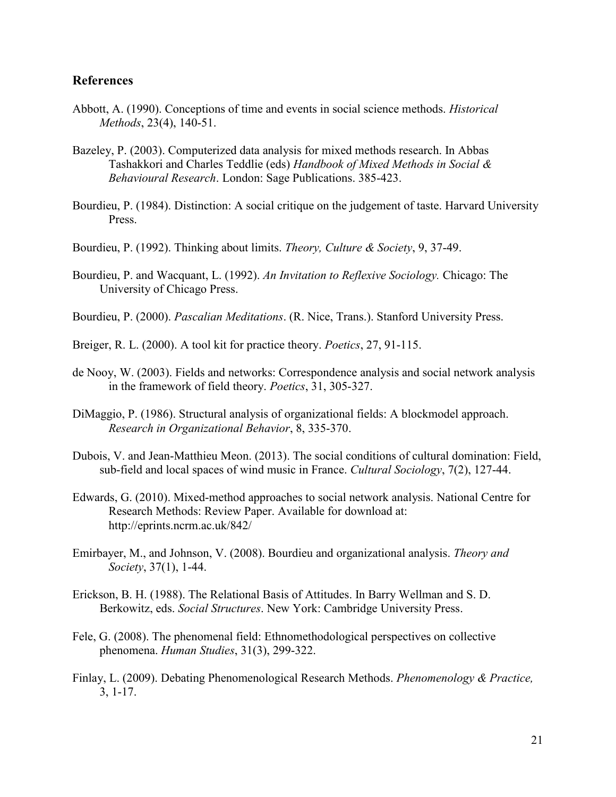#### <span id="page-22-0"></span>**References**

- Abbott, A. (1990). Conceptions of time and events in social science methods. *Historical Methods*, 23(4), 140-51.
- Bazeley, P. (2003). Computerized data analysis for mixed methods research. In Abbas Tashakkori and Charles Teddlie (eds) *Handbook of Mixed Methods in Social & Behavioural Research*. London: Sage Publications. 385-423.
- Bourdieu, P. (1984). Distinction: A social critique on the judgement of taste. Harvard University Press.
- Bourdieu, P. (1992). Thinking about limits. *Theory, Culture & Society*, 9, 37-49.
- Bourdieu, P. and Wacquant, L. (1992). *An Invitation to Reflexive Sociology.* Chicago: The University of Chicago Press.
- Bourdieu, P. (2000). *Pascalian Meditations*. (R. Nice, Trans.). Stanford University Press.
- Breiger, R. L. (2000). A tool kit for practice theory. *Poetics*, 27, 91-115.
- de Nooy, W. (2003). Fields and networks: Correspondence analysis and social network analysis in the framework of field theory. *Poetics*, 31, 305-327.
- DiMaggio, P. (1986). Structural analysis of organizational fields: A blockmodel approach. *Research in Organizational Behavior*, 8, 335-370.
- Dubois, V. and Jean-Matthieu Meon. (2013). The social conditions of cultural domination: Field, sub-field and local spaces of wind music in France. *Cultural Sociology*, 7(2), 127-44.
- Edwards, G. (2010). Mixed-method approaches to social network analysis. National Centre for Research Methods: Review Paper. Available for download at: http://eprints.ncrm.ac.uk/842/
- Emirbayer, M., and Johnson, V. (2008). Bourdieu and organizational analysis. *Theory and Society*, 37(1), 1-44.
- Erickson, B. H. (1988). The Relational Basis of Attitudes. In Barry Wellman and S. D. Berkowitz, eds. *Social Structures*. New York: Cambridge University Press.
- Fele, G. (2008). The phenomenal field: Ethnomethodological perspectives on collective phenomena. *Human Studies*, 31(3), 299-322.
- Finlay, L. (2009). Debating Phenomenological Research Methods. *Phenomenology & Practice,* 3, 1-17.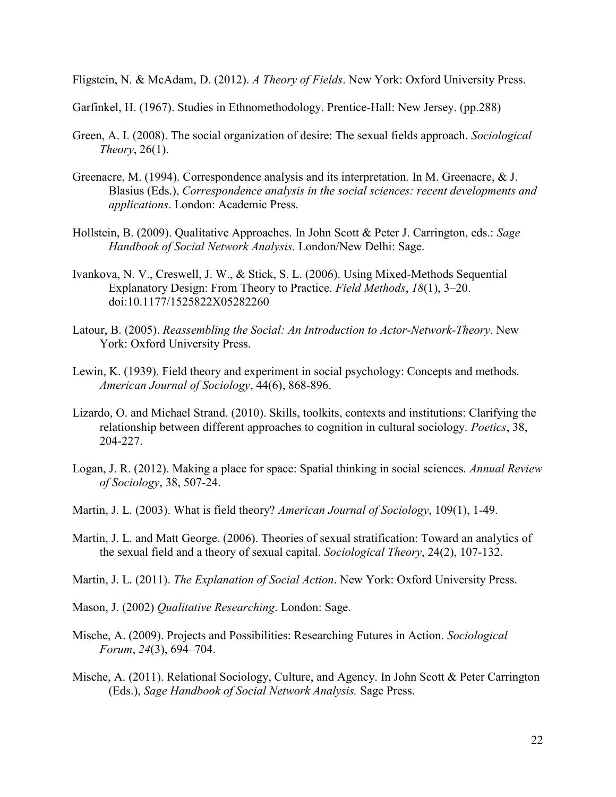Fligstein, N. & McAdam, D. (2012). *A Theory of Fields*. New York: Oxford University Press.

Garfinkel, H. (1967). Studies in Ethnomethodology. Prentice-Hall: New Jersey. (pp.288)

- Green, A. I. (2008). The social organization of desire: The sexual fields approach. *Sociological Theory*, 26(1).
- Greenacre, M. (1994). Correspondence analysis and its interpretation. In M. Greenacre, & J. Blasius (Eds.), *Correspondence analysis in the social sciences: recent developments and applications*. London: Academic Press.
- Hollstein, B. (2009). Qualitative Approaches. In John Scott & Peter J. Carrington, eds.: *Sage Handbook of Social Network Analysis.* London/New Delhi: Sage.
- Ivankova, N. V., Creswell, J. W., & Stick, S. L. (2006). Using Mixed-Methods Sequential Explanatory Design: From Theory to Practice. *Field Methods*, *18*(1), 3–20. doi:10.1177/1525822X05282260
- Latour, B. (2005). *Reassembling the Social: An Introduction to Actor-Network-Theory*. New York: Oxford University Press.
- Lewin, K. (1939). Field theory and experiment in social psychology: Concepts and methods. *American Journal of Sociology*, 44(6), 868-896.
- Lizardo, O. and Michael Strand. (2010). Skills, toolkits, contexts and institutions: Clarifying the relationship between different approaches to cognition in cultural sociology. *Poetics*, 38, 204-227.
- Logan, J. R. (2012). Making a place for space: Spatial thinking in social sciences. *Annual Review of Sociology*, 38, 507-24.
- Martin, J. L. (2003). What is field theory? *American Journal of Sociology*, 109(1), 1-49.
- Martin, J. L. and Matt George. (2006). Theories of sexual stratification: Toward an analytics of the sexual field and a theory of sexual capital. *Sociological Theory*, 24(2), 107-132.
- Martin, J. L. (2011). *The Explanation of Social Action*. New York: Oxford University Press.
- Mason, J. (2002) *Qualitative Researching*. London: Sage.
- Mische, A. (2009). Projects and Possibilities: Researching Futures in Action. *Sociological Forum*, *24*(3), 694–704.
- Mische, A. (2011). Relational Sociology, Culture, and Agency. In John Scott & Peter Carrington (Eds.), *Sage Handbook of Social Network Analysis.* Sage Press.